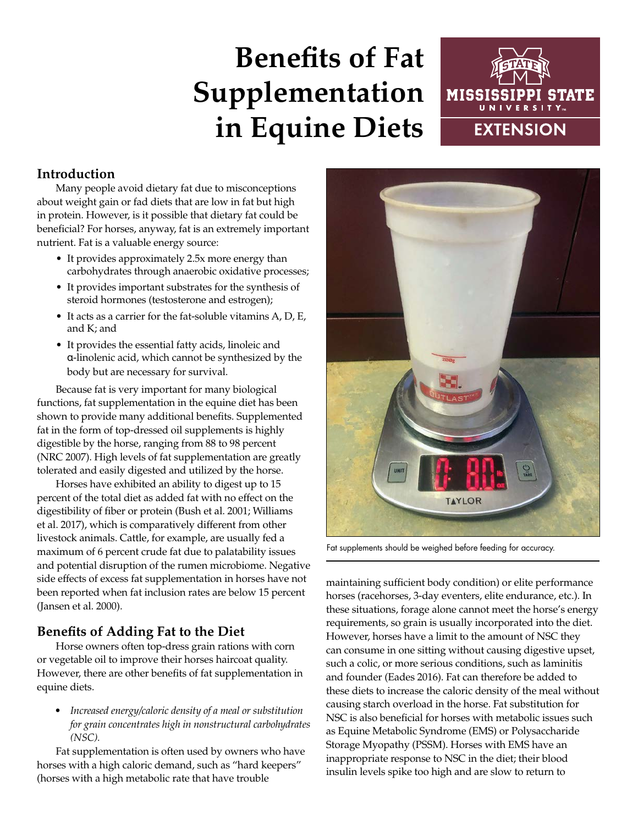# **Benefits of Fat Supplementation in Equine Diets**



## **Introduction**

Many people avoid dietary fat due to misconceptions about weight gain or fad diets that are low in fat but high in protein. However, is it possible that dietary fat could be beneficial? For horses, anyway, fat is an extremely important nutrient. Fat is a valuable energy source:

- It provides approximately 2.5x more energy than carbohydrates through anaerobic oxidative processes;
- It provides important substrates for the synthesis of steroid hormones (testosterone and estrogen);
- It acts as a carrier for the fat-soluble vitamins A, D, E, and K; and
- It provides the essential fatty acids, linoleic and α-linolenic acid, which cannot be synthesized by the body but are necessary for survival.

Because fat is very important for many biological functions, fat supplementation in the equine diet has been shown to provide many additional benefits. Supplemented fat in the form of top-dressed oil supplements is highly digestible by the horse, ranging from 88 to 98 percent (NRC 2007). High levels of fat supplementation are greatly tolerated and easily digested and utilized by the horse.

Horses have exhibited an ability to digest up to 15 percent of the total diet as added fat with no effect on the digestibility of fiber or protein (Bush et al. 2001; Williams et al. 2017), which is comparatively different from other livestock animals. Cattle, for example, are usually fed a maximum of 6 percent crude fat due to palatability issues and potential disruption of the rumen microbiome. Negative side effects of excess fat supplementation in horses have not been reported when fat inclusion rates are below 15 percent (Jansen et al. 2000).

## **Benefits of Adding Fat to the Diet**

Horse owners often top-dress grain rations with corn or vegetable oil to improve their horses haircoat quality. However, there are other benefits of fat supplementation in equine diets.

• *Increased energy/caloric density of a meal or substitution for grain concentrates high in nonstructural carbohydrates (NSC).* 

Fat supplementation is often used by owners who have horses with a high caloric demand, such as "hard keepers" (horses with a high metabolic rate that have trouble



Fat supplements should be weighed before feeding for accuracy.

maintaining sufficient body condition) or elite performance horses (racehorses, 3-day eventers, elite endurance, etc.). In these situations, forage alone cannot meet the horse's energy requirements, so grain is usually incorporated into the diet. However, horses have a limit to the amount of NSC they can consume in one sitting without causing digestive upset, such a colic, or more serious conditions, such as laminitis and founder (Eades 2016). Fat can therefore be added to these diets to increase the caloric density of the meal without causing starch overload in the horse. Fat substitution for NSC is also beneficial for horses with metabolic issues such as Equine Metabolic Syndrome (EMS) or Polysaccharide Storage Myopathy (PSSM). Horses with EMS have an inappropriate response to NSC in the diet; their blood insulin levels spike too high and are slow to return to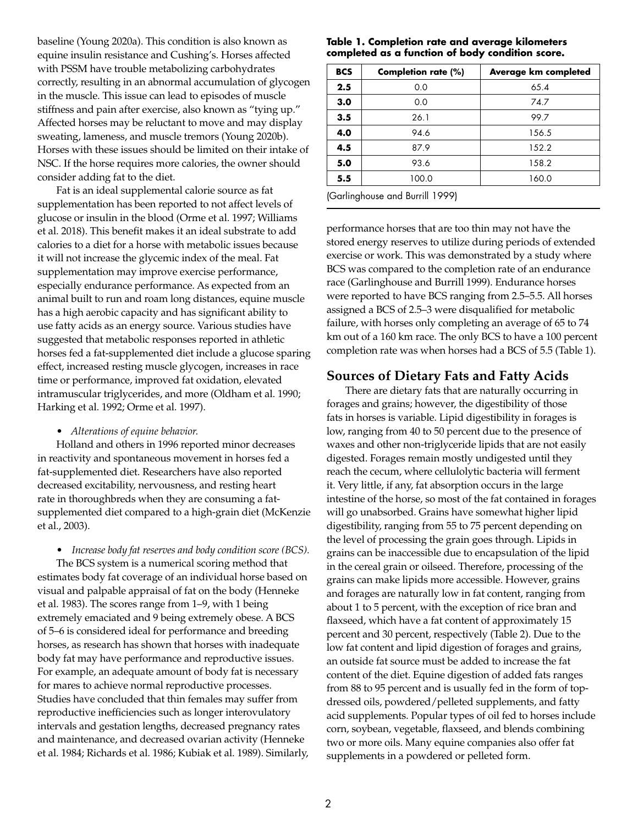baseline (Young 2020a). This condition is also known as equine insulin resistance and Cushing's. Horses affected with PSSM have trouble metabolizing carbohydrates correctly, resulting in an abnormal accumulation of glycogen in the muscle. This issue can lead to episodes of muscle stiffness and pain after exercise, also known as "tying up." Affected horses may be reluctant to move and may display sweating, lameness, and muscle tremors (Young 2020b). Horses with these issues should be limited on their intake of NSC. If the horse requires more calories, the owner should consider adding fat to the diet.

Fat is an ideal supplemental calorie source as fat supplementation has been reported to not affect levels of glucose or insulin in the blood (Orme et al. 1997; Williams et al. 2018). This benefit makes it an ideal substrate to add calories to a diet for a horse with metabolic issues because it will not increase the glycemic index of the meal. Fat supplementation may improve exercise performance, especially endurance performance. As expected from an animal built to run and roam long distances, equine muscle has a high aerobic capacity and has significant ability to use fatty acids as an energy source. Various studies have suggested that metabolic responses reported in athletic horses fed a fat-supplemented diet include a glucose sparing effect, increased resting muscle glycogen, increases in race time or performance, improved fat oxidation, elevated intramuscular triglycerides, and more (Oldham et al. 1990; Harking et al. 1992; Orme et al. 1997).

#### • *Alterations of equine behavior.*

Holland and others in 1996 reported minor decreases in reactivity and spontaneous movement in horses fed a fat-supplemented diet. Researchers have also reported decreased excitability, nervousness, and resting heart rate in thoroughbreds when they are consuming a fatsupplemented diet compared to a high-grain diet (McKenzie et al., 2003).

• *Increase body fat reserves and body condition score (BCS).* 

The BCS system is a numerical scoring method that estimates body fat coverage of an individual horse based on visual and palpable appraisal of fat on the body (Henneke et al. 1983). The scores range from 1–9, with 1 being extremely emaciated and 9 being extremely obese. A BCS of 5–6 is considered ideal for performance and breeding horses, as research has shown that horses with inadequate body fat may have performance and reproductive issues. For example, an adequate amount of body fat is necessary for mares to achieve normal reproductive processes. Studies have concluded that thin females may suffer from reproductive inefficiencies such as longer interovulatory intervals and gestation lengths, decreased pregnancy rates and maintenance, and decreased ovarian activity (Henneke et al. 1984; Richards et al. 1986; Kubiak et al. 1989). Similarly,

#### **Table 1. Completion rate and average kilometers completed as a function of body condition score.**

| <b>BCS</b>                      | Completion rate (%) | Average km completed |  |  |
|---------------------------------|---------------------|----------------------|--|--|
| 2.5                             | 0.0                 | 65.4                 |  |  |
| 3.0                             | 0.0                 | 74.7                 |  |  |
| 3.5                             | 26.1                | 99.7                 |  |  |
| 4.0                             | 94.6                | 156.5                |  |  |
| 4.5                             | 87.9                | 152.2                |  |  |
| 5.0                             | 93.6                | 158.2                |  |  |
| 5.5                             | 100.0               | 160.0                |  |  |
| (Garlinghouse and Burrill 1999) |                     |                      |  |  |

performance horses that are too thin may not have the stored energy reserves to utilize during periods of extended exercise or work. This was demonstrated by a study where BCS was compared to the completion rate of an endurance race (Garlinghouse and Burrill 1999). Endurance horses were reported to have BCS ranging from 2.5–5.5. All horses assigned a BCS of 2.5–3 were disqualified for metabolic failure, with horses only completing an average of 65 to 74 km out of a 160 km race. The only BCS to have a 100 percent completion rate was when horses had a BCS of 5.5 (Table 1).

## **Sources of Dietary Fats and Fatty Acids**

There are dietary fats that are naturally occurring in forages and grains; however, the digestibility of those fats in horses is variable. Lipid digestibility in forages is low, ranging from 40 to 50 percent due to the presence of waxes and other non-triglyceride lipids that are not easily digested. Forages remain mostly undigested until they reach the cecum, where cellulolytic bacteria will ferment it. Very little, if any, fat absorption occurs in the large intestine of the horse, so most of the fat contained in forages will go unabsorbed. Grains have somewhat higher lipid digestibility, ranging from 55 to 75 percent depending on the level of processing the grain goes through. Lipids in grains can be inaccessible due to encapsulation of the lipid in the cereal grain or oilseed. Therefore, processing of the grains can make lipids more accessible. However, grains and forages are naturally low in fat content, ranging from about 1 to 5 percent, with the exception of rice bran and flaxseed, which have a fat content of approximately 15 percent and 30 percent, respectively (Table 2). Due to the low fat content and lipid digestion of forages and grains, an outside fat source must be added to increase the fat content of the diet. Equine digestion of added fats ranges from 88 to 95 percent and is usually fed in the form of topdressed oils, powdered/pelleted supplements, and fatty acid supplements. Popular types of oil fed to horses include corn, soybean, vegetable, flaxseed, and blends combining two or more oils. Many equine companies also offer fat supplements in a powdered or pelleted form.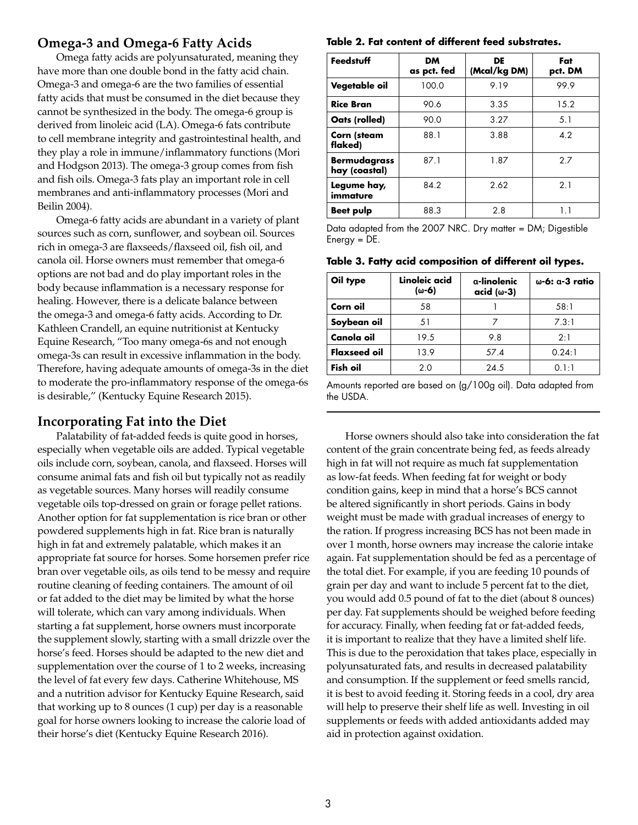## **Omega-3 and Omega-6 Fatty Acids**

Omega fatty acids are polyunsaturated, meaning they have more than one double bond in the fatty acid chain. Omega-3 and omega-6 are the two families of essential fatty acids that must be consumed in the diet because they cannot be synthesized in the body. The omega-6 group is derived from linoleic acid (LA). Omega-6 fats contribute to cell membrane integrity and gastrointestinal health, and they play a role in immune/inflammatory functions (Mori and Hodgson 2013). The omega-3 group comes from fish and fish oils. Omega-3 fats play an important role in cell membranes and anti-inflammatory processes (Mori and Beilin 2004).

Omega-6 fatty acids are abundant in a variety of plant sources such as corn, sunflower, and soybean oil. Sources rich in omega-3 are flaxseeds/flaxseed oil, fish oil, and canola oil. Horse owners must remember that omega-6 options are not bad and do play important roles in the body because inflammation is a necessary response for healing. However, there is a delicate balance between the omega-3 and omega-6 fatty acids. According to Dr. Kathleen Crandell, an equine nutritionist at Kentucky Equine Research, "Too many omega-6s and not enough omega-3s can result in excessive inflammation in the body. Therefore, having adequate amounts of omega-3s in the diet to moderate the pro-inflammatory response of the omega-6s is desirable," (Kentucky Equine Research 2015).

## **Incorporating Fat into the Diet**

Palatability of fat-added feeds is quite good in horses, especially when vegetable oils are added. Typical vegetable oils include corn, soybean, canola, and flaxseed. Horses will consume animal fats and fish oil but typically not as readily as vegetable sources. Many horses will readily consume vegetable oils top-dressed on grain or forage pellet rations. Another option for fat supplementation is rice bran or other powdered supplements high in fat. Rice bran is naturally high in fat and extremely palatable, which makes it an appropriate fat source for horses. Some horsemen prefer rice bran over vegetable oils, as oils tend to be messy and require routine cleaning of feeding containers. The amount of oil or fat added to the diet may be limited by what the horse will tolerate, which can vary among individuals. When starting a fat supplement, horse owners must incorporate the supplement slowly, starting with a small drizzle over the horse's feed. Horses should be adapted to the new diet and supplementation over the course of 1 to 2 weeks, increasing the level of fat every few days. Catherine Whitehouse, MS and a nutrition advisor for Kentucky Equine Research, said that working up to 8 ounces (1 cup) per day is a reasonable goal for horse owners looking to increase the calorie load of their horse's diet (Kentucky Equine Research 2016).

#### **Table 2. Fat content of different feed substrates.**

| Feedstuff                            | <b>DM</b><br>as pct. fed | DE<br>(Mcal/kg DM) | Fat<br>pct. DM |
|--------------------------------------|--------------------------|--------------------|----------------|
| Vegetable oil                        | 100.0                    | 9.19               | 99.9           |
| <b>Rice Bran</b>                     | 90.6                     | 3.35               | 15.2           |
| Oats (rolled)                        | 90.0                     | 3.27               | 5.1            |
| Corn (steam<br>flaked)               | 88.1                     | 3.88               | 4.2            |
| <b>Bermudagrass</b><br>hay (coastal) | 87.1                     | 1.87               | 2.7            |
| Legume hay,<br>immature              | 84.2                     | 2.62               | 2.1            |
| <b>Beet pulp</b>                     | 88.3                     | 2.8                | 11             |

Data adapted from the 2007 NRC. Dry matter = DM; Digestible Energy = DE.

#### **Table 3. Fatty acid composition of different oil types.**

| Oil type            | Linoleic acid<br>(ω-6) | a-linolenic<br>$acid (\omega-3)$ | ω-6: α-3 ratio |
|---------------------|------------------------|----------------------------------|----------------|
| Corn oil            | 58                     |                                  | 58:1           |
| Soybean oil         | 51                     |                                  | 7.3:1          |
| Canola oil          | 19.5                   | 9.8                              | 2:1            |
| <b>Flaxseed oil</b> | 13.9                   | 57.4                             | 0.24:1         |
| Fish oil            | 2.0                    | 24.5                             | 0.1:1          |

Amounts reported are based on (g/100g oil). Data adapted from the USDA.

Horse owners should also take into consideration the fat content of the grain concentrate being fed, as feeds already high in fat will not require as much fat supplementation as low-fat feeds. When feeding fat for weight or body condition gains, keep in mind that a horse's BCS cannot be altered significantly in short periods. Gains in body weight must be made with gradual increases of energy to the ration. If progress increasing BCS has not been made in over 1 month, horse owners may increase the calorie intake again. Fat supplementation should be fed as a percentage of the total diet. For example, if you are feeding 10 pounds of grain per day and want to include 5 percent fat to the diet, you would add 0.5 pound of fat to the diet (about 8 ounces) per day. Fat supplements should be weighed before feeding for accuracy. Finally, when feeding fat or fat-added feeds, it is important to realize that they have a limited shelf life. This is due to the peroxidation that takes place, especially in polyunsaturated fats, and results in decreased palatability and consumption. If the supplement or feed smells rancid, it is best to avoid feeding it. Storing feeds in a cool, dry area will help to preserve their shelf life as well. Investing in oil supplements or feeds with added antioxidants added may aid in protection against oxidation.